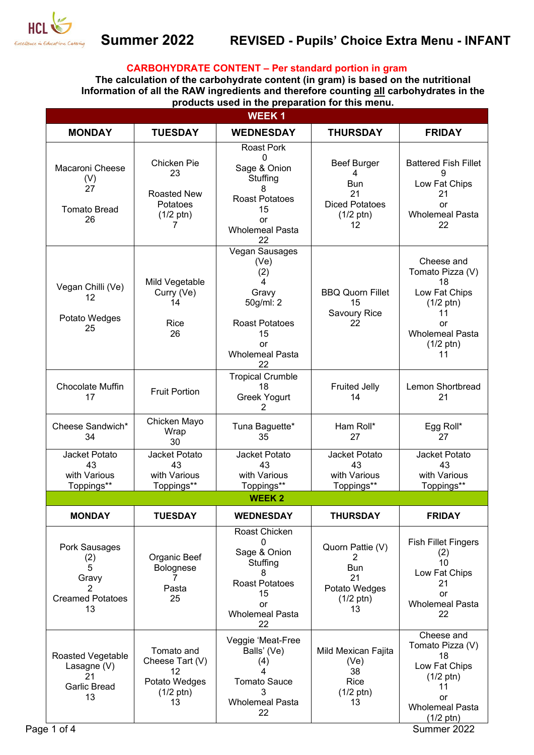

## **CARBOHYDRATE CONTENT – Per standard portion in gram**

**The calculation of the carbohydrate content (in gram) is based on the nutritional Information of all the RAW ingredients and therefore counting all carbohydrates in the products used in the preparation for this menu.** 

|                                                                          |                                                                                   | <b>WEEK1</b>                                                                                                                           |                                                                                            |                                                                                                                                                 |
|--------------------------------------------------------------------------|-----------------------------------------------------------------------------------|----------------------------------------------------------------------------------------------------------------------------------------|--------------------------------------------------------------------------------------------|-------------------------------------------------------------------------------------------------------------------------------------------------|
| <b>MONDAY</b>                                                            | <b>TUESDAY</b>                                                                    | <b>WEDNESDAY</b>                                                                                                                       | <b>THURSDAY</b>                                                                            | <b>FRIDAY</b>                                                                                                                                   |
| Macaroni Cheese<br>(V)<br>27<br><b>Tomato Bread</b><br>26                | Chicken Pie<br>23<br><b>Roasted New</b><br>Potatoes<br>$(1/2 \text{ ptn})$<br>7   | <b>Roast Pork</b><br>$\mathbf 0$<br>Sage & Onion<br>Stuffing<br>8<br><b>Roast Potatoes</b><br>15<br>or<br><b>Wholemeal Pasta</b><br>22 | <b>Beef Burger</b><br>4<br>Bun<br>21<br><b>Diced Potatoes</b><br>$(1/2 \text{ ptn})$<br>12 | <b>Battered Fish Fillet</b><br>9<br>Low Fat Chips<br>21<br>or<br><b>Wholemeal Pasta</b><br>22                                                   |
| Vegan Chilli (Ve)<br>12<br>Potato Wedges<br>25                           | Mild Vegetable<br>Curry (Ve)<br>14<br>Rice<br>26                                  | Vegan Sausages<br>(Ve)<br>(2)<br>4<br>Gravy<br>50g/ml: 2<br><b>Roast Potatoes</b><br>15<br>or<br><b>Wholemeal Pasta</b><br>22          | <b>BBQ Quorn Fillet</b><br>15<br>Savoury Rice<br>22                                        | Cheese and<br>Tomato Pizza (V)<br>18<br>Low Fat Chips<br>$(1/2 \text{ ptn})$<br>11<br>or<br><b>Wholemeal Pasta</b><br>$(1/2 \text{ ptn})$<br>11 |
| Chocolate Muffin<br>17                                                   | <b>Fruit Portion</b>                                                              | <b>Tropical Crumble</b><br>18<br>Greek Yogurt<br>2                                                                                     | <b>Fruited Jelly</b><br>14                                                                 | Lemon Shortbread<br>21                                                                                                                          |
| Cheese Sandwich*<br>34                                                   | Chicken Mayo<br>Wrap<br>30                                                        | Tuna Baguette*<br>35                                                                                                                   | Ham Roll*<br>27                                                                            | Egg Roll*<br>27                                                                                                                                 |
| Jacket Potato<br>43<br>with Various<br>Toppings**                        | Jacket Potato<br>43<br>with Various<br>Toppings**                                 | Jacket Potato<br>43<br>with Various<br>Toppings**                                                                                      | Jacket Potato<br>43<br>with Various<br>Toppings**                                          | Jacket Potato<br>43<br>with Various<br>Toppings**                                                                                               |
|                                                                          |                                                                                   | <b>WEEK2</b>                                                                                                                           |                                                                                            |                                                                                                                                                 |
| <b>MONDAY</b>                                                            | <b>TUESDAY</b>                                                                    | <b>WEDNESDAY</b>                                                                                                                       | <b>THURSDAY</b>                                                                            | <b>FRIDAY</b>                                                                                                                                   |
| Pork Sausages<br>(2)<br>5<br>Gravy<br>2<br><b>Creamed Potatoes</b><br>13 | Organic Beef<br>Bolognese<br>7<br>Pasta<br>25                                     | Roast Chicken<br>$\Omega$<br>Sage & Onion<br>Stuffing<br>8<br><b>Roast Potatoes</b><br>15<br>or<br><b>Wholemeal Pasta</b><br>22        | Quorn Pattie (V)<br>2<br><b>Bun</b><br>21<br>Potato Wedges<br>$(1/2 \text{ ptn})$<br>13    | <b>Fish Fillet Fingers</b><br>(2)<br>10<br>Low Fat Chips<br>21<br>or<br><b>Wholemeal Pasta</b><br>22                                            |
| Roasted Vegetable<br>Lasagne (V)<br>21<br><b>Garlic Bread</b><br>13      | Tomato and<br>Cheese Tart (V)<br>12<br>Potato Wedges<br>$(1/2 \text{ ptn})$<br>13 | Veggie 'Meat-Free<br>Balls' (Ve)<br>(4)<br>4<br><b>Tomato Sauce</b><br>3<br><b>Wholemeal Pasta</b>                                     | Mild Mexican Fajita<br>(Ve)<br>38<br>Rice<br>$(1/2 \text{ ptn})$<br>13                     | Cheese and<br>Tomato Pizza (V)<br>18<br>Low Fat Chips<br>$(1/2 \text{ ptn})$<br>11<br>or<br><b>Wholemeal Pasta</b>                              |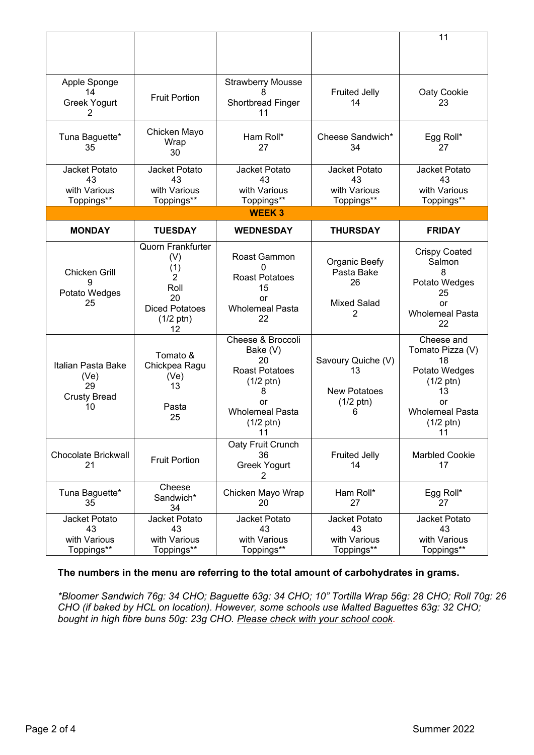|                                                               |                                                                                                                              |                                                                                                                                                       |                                                                             | 11                                                                                                                                              |  |  |  |
|---------------------------------------------------------------|------------------------------------------------------------------------------------------------------------------------------|-------------------------------------------------------------------------------------------------------------------------------------------------------|-----------------------------------------------------------------------------|-------------------------------------------------------------------------------------------------------------------------------------------------|--|--|--|
| Apple Sponge<br>14<br>Greek Yogurt<br>2                       | <b>Fruit Portion</b>                                                                                                         | <b>Strawberry Mousse</b><br>Shortbread Finger<br>11                                                                                                   | <b>Fruited Jelly</b><br>14                                                  | Oaty Cookie<br>23                                                                                                                               |  |  |  |
| Tuna Baguette*<br>35                                          | Chicken Mayo<br>Wrap<br>30                                                                                                   | Ham Roll*<br>27                                                                                                                                       | Cheese Sandwich*<br>34                                                      | Egg Roll*<br>27                                                                                                                                 |  |  |  |
| Jacket Potato<br>43<br>with Various<br>Toppings**             | Jacket Potato<br>43<br>with Various<br>Toppings**                                                                            | Jacket Potato<br>43<br>with Various<br>Toppings**                                                                                                     | Jacket Potato<br>43<br>with Various<br>Toppings**                           | Jacket Potato<br>43<br>with Various<br>Toppings**                                                                                               |  |  |  |
| <b>WEEK3</b>                                                  |                                                                                                                              |                                                                                                                                                       |                                                                             |                                                                                                                                                 |  |  |  |
| <b>MONDAY</b>                                                 | <b>TUESDAY</b>                                                                                                               | <b>WEDNESDAY</b>                                                                                                                                      | <b>THURSDAY</b>                                                             | <b>FRIDAY</b>                                                                                                                                   |  |  |  |
| <b>Chicken Grill</b><br>9<br>Potato Wedges<br>25              | <b>Quorn Frankfurter</b><br>(V)<br>(1)<br>$\overline{2}$<br>Roll<br>20<br><b>Diced Potatoes</b><br>$(1/2 \text{ ptn})$<br>12 | Roast Gammon<br><b>Roast Potatoes</b><br>15<br>or<br><b>Wholemeal Pasta</b><br>22                                                                     | Organic Beefy<br>Pasta Bake<br>26<br><b>Mixed Salad</b><br>2                | <b>Crispy Coated</b><br>Salmon<br>8<br>Potato Wedges<br>25<br>or<br><b>Wholemeal Pasta</b><br>22                                                |  |  |  |
| Italian Pasta Bake<br>(Ve)<br>29<br><b>Crusty Bread</b><br>10 | Tomato &<br>Chickpea Ragu<br>(Ve)<br>13<br>Pasta<br>25                                                                       | Cheese & Broccoli<br>Bake (V)<br>20<br><b>Roast Potatoes</b><br>$(1/2 \text{ ptn})$<br>8<br>or<br><b>Wholemeal Pasta</b><br>$(1/2 \text{ ptn})$<br>11 | Savoury Quiche (V)<br>13<br><b>New Potatoes</b><br>$(1/2 \text{ ptn})$<br>6 | Cheese and<br>Tomato Pizza (V)<br>18<br>Potato Wedges<br>$(1/2 \text{ ptn})$<br>13<br>or<br><b>Wholemeal Pasta</b><br>$(1/2 \text{ ptn})$<br>11 |  |  |  |
| <b>Chocolate Brickwall</b><br>21                              | <b>Fruit Portion</b>                                                                                                         | Oaty Fruit Crunch<br>36<br>Greek Yogurt<br>2                                                                                                          | <b>Fruited Jelly</b><br>14                                                  | <b>Marbled Cookie</b><br>17                                                                                                                     |  |  |  |
| Tuna Baguette*<br>35                                          | Cheese<br>Sandwich*<br>34                                                                                                    | Chicken Mayo Wrap<br>20                                                                                                                               | Ham Roll*<br>27                                                             | Egg Roll*<br>27                                                                                                                                 |  |  |  |
| Jacket Potato<br>43<br>with Various<br>Toppings**             | Jacket Potato<br>43<br>with Various<br>Toppings**                                                                            | Jacket Potato<br>43<br>with Various<br>Toppings**                                                                                                     | Jacket Potato<br>43<br>with Various<br>Toppings**                           | Jacket Potato<br>43<br>with Various<br>Toppings**                                                                                               |  |  |  |

## **The numbers in the menu are referring to the total amount of carbohydrates in grams.**

*\*Bloomer Sandwich 76g: 34 CHO; Baguette 63g: 34 CHO; 10" Tortilla Wrap 56g: 28 CHO; Roll 70g: 26 CHO (if baked by HCL on location). However, some schools use Malted Baguettes 63g: 32 CHO; bought in high fibre buns 50g: 23g CHO. Please check with your school cook.*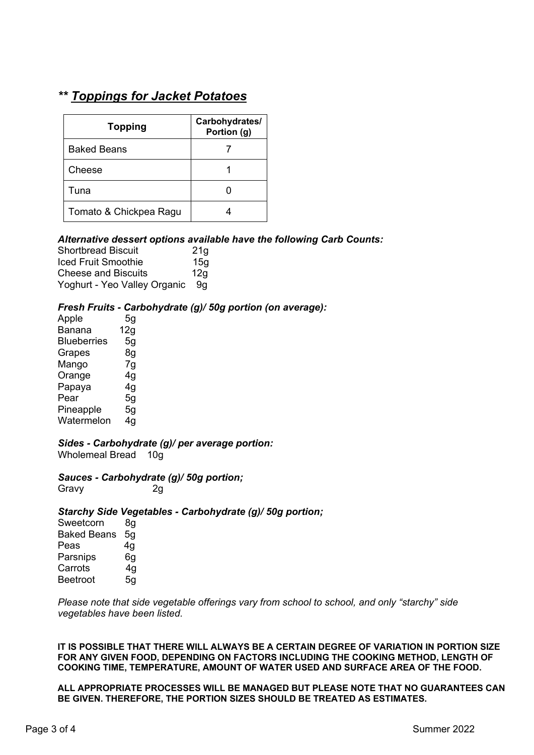# *\*\* Toppings for Jacket Potatoes*

| <b>Topping</b>         | Carbohydrates/<br>Portion (g) |  |
|------------------------|-------------------------------|--|
| Baked Beans            |                               |  |
| Cheese                 |                               |  |
| Tuna                   |                               |  |
| Tomato & Chickpea Ragu |                               |  |

### *Alternative dessert options available have the following Carb Counts:*

| <b>Shortbread Biscuit</b>    | 21 <sub>q</sub> |
|------------------------------|-----------------|
| Iced Fruit Smoothie          | 15 <sub>q</sub> |
| <b>Cheese and Biscuits</b>   | 12q             |
| Yoghurt - Yeo Valley Organic | -9a             |

### *Fresh Fruits - Carbohydrate (g)/ 50g portion (on average):*

| Apple              | 5g  |
|--------------------|-----|
| Banana             | 12g |
| <b>Blueberries</b> | 5g  |
| Grapes             | 8g  |
| Mango              | 7g  |
| Orange             | 4g  |
| Papaya             | 4g  |
| Pear               | 5g  |
| Pineapple          | 5g  |
| Watermelon         | 4g  |
|                    |     |

### *Sides - Carbohydrate (g)/ per average portion:*

Wholemeal Bread 10g

# *Sauces - Carbohydrate (g)/ 50g portion;*

Gravy 2q

### *Starchy Side Vegetables - Carbohydrate (g)/ 50g portion;*

Sweetcorn 8g Baked Beans 5g Peas 4g<br>Parsnips 6g Parsnips Carrots 4q Beetroot 5g

*Please note that side vegetable offerings vary from school to school, and only "starchy" side vegetables have been listed.* 

**IT IS POSSIBLE THAT THERE WILL ALWAYS BE A CERTAIN DEGREE OF VARIATION IN PORTION SIZE FOR ANY GIVEN FOOD, DEPENDING ON FACTORS INCLUDING THE COOKING METHOD, LENGTH OF COOKING TIME, TEMPERATURE, AMOUNT OF WATER USED AND SURFACE AREA OF THE FOOD.** 

**ALL APPROPRIATE PROCESSES WILL BE MANAGED BUT PLEASE NOTE THAT NO GUARANTEES CAN BE GIVEN. THEREFORE, THE PORTION SIZES SHOULD BE TREATED AS ESTIMATES.**